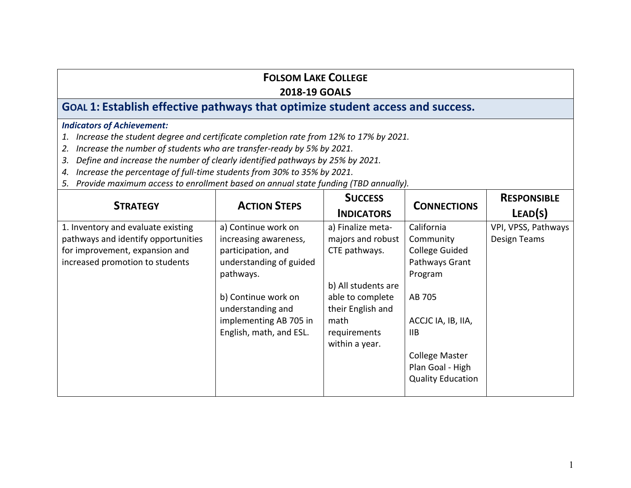## **FOLSOM LAKE COLLEGE**

### **2018-19 GOALS**

# **GOAL 1: Establish effective pathways that optimize student access and success.**

- *1. Increase the student degree and certificate completion rate from 12% to 17% by 2021.*
- *2. Increase the number of students who are transfer-ready by 5% by 2021.*
- *3. Define and increase the number of clearly identified pathways by 25% by 2021.*
- *4. Increase the percentage of full-time students from 30% to 35% by 2021.*
- *5. Provide maximum access to enrollment based on annual state funding (TBD annually).*

| <b>STRATEGY</b>                     | <b>ACTION STEPS</b>     | <b>SUCCESS</b><br><b>INDICATORS</b> | <b>CONNECTIONS</b>       | <b>RESPONSIBLE</b><br>LEAD(S) |
|-------------------------------------|-------------------------|-------------------------------------|--------------------------|-------------------------------|
| 1. Inventory and evaluate existing  | a) Continue work on     | a) Finalize meta-                   | California               | VPI, VPSS, Pathways           |
| pathways and identify opportunities | increasing awareness,   | majors and robust                   | Community                | Design Teams                  |
| for improvement, expansion and      | participation, and      | CTE pathways.                       | <b>College Guided</b>    |                               |
| increased promotion to students     | understanding of guided |                                     | Pathways Grant           |                               |
|                                     | pathways.               |                                     | Program                  |                               |
|                                     |                         | b) All students are                 |                          |                               |
|                                     | b) Continue work on     | able to complete                    | AB 705                   |                               |
|                                     | understanding and       | their English and                   |                          |                               |
|                                     | implementing AB 705 in  | math                                | ACCJC IA, IB, IIA,       |                               |
|                                     | English, math, and ESL. | requirements                        | IIB.                     |                               |
|                                     |                         | within a year.                      |                          |                               |
|                                     |                         |                                     | <b>College Master</b>    |                               |
|                                     |                         |                                     | Plan Goal - High         |                               |
|                                     |                         |                                     | <b>Quality Education</b> |                               |
|                                     |                         |                                     |                          |                               |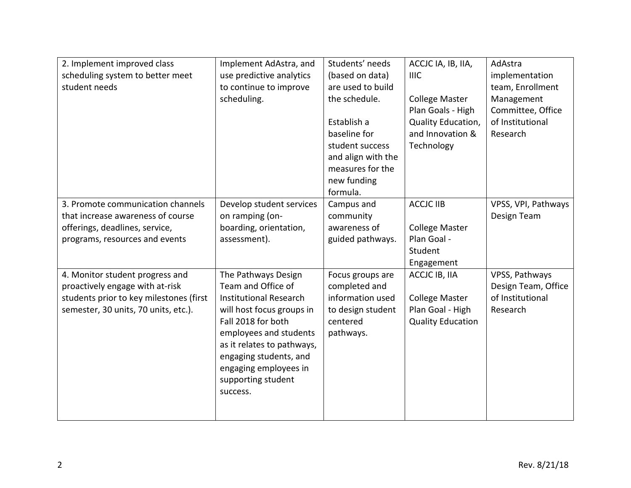| 2. Implement improved class<br>scheduling system to better meet<br>student needs                                                                      | Implement AdAstra, and<br>use predictive analytics<br>to continue to improve<br>scheduling.                                                                                                                                                                                | Students' needs<br>(based on data)<br>are used to build<br>the schedule.<br>Establish a<br>baseline for<br>student success<br>and align with the<br>measures for the<br>new funding<br>formula. | ACCJC IA, IB, IIA,<br><b>IIIC</b><br><b>College Master</b><br>Plan Goals - High<br>Quality Education,<br>and Innovation &<br>Technology | AdAstra<br>implementation<br>team, Enrollment<br>Management<br>Committee, Office<br>of Institutional<br>Research |
|-------------------------------------------------------------------------------------------------------------------------------------------------------|----------------------------------------------------------------------------------------------------------------------------------------------------------------------------------------------------------------------------------------------------------------------------|-------------------------------------------------------------------------------------------------------------------------------------------------------------------------------------------------|-----------------------------------------------------------------------------------------------------------------------------------------|------------------------------------------------------------------------------------------------------------------|
| 3. Promote communication channels<br>that increase awareness of course<br>offerings, deadlines, service,<br>programs, resources and events            | Develop student services<br>on ramping (on-<br>boarding, orientation,<br>assessment).                                                                                                                                                                                      | Campus and<br>community<br>awareness of<br>guided pathways.                                                                                                                                     | <b>ACCJC IIB</b><br><b>College Master</b><br>Plan Goal -<br>Student<br>Engagement                                                       | VPSS, VPI, Pathways<br>Design Team                                                                               |
| 4. Monitor student progress and<br>proactively engage with at-risk<br>students prior to key milestones (first<br>semester, 30 units, 70 units, etc.). | The Pathways Design<br>Team and Office of<br><b>Institutional Research</b><br>will host focus groups in<br>Fall 2018 for both<br>employees and students<br>as it relates to pathways,<br>engaging students, and<br>engaging employees in<br>supporting student<br>success. | Focus groups are<br>completed and<br>information used<br>to design student<br>centered<br>pathways.                                                                                             | ACCJC IB, IIA<br><b>College Master</b><br>Plan Goal - High<br><b>Quality Education</b>                                                  | VPSS, Pathways<br>Design Team, Office<br>of Institutional<br>Research                                            |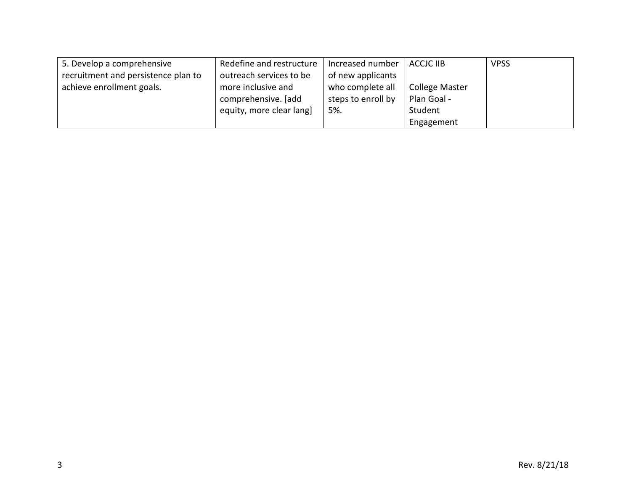| 5. Develop a comprehensive          | Redefine and restructure | Increased number   | <b>ACCJC IIB</b>      | <b>VPSS</b> |
|-------------------------------------|--------------------------|--------------------|-----------------------|-------------|
| recruitment and persistence plan to | outreach services to be  | of new applicants  |                       |             |
| achieve enrollment goals.           | more inclusive and       | who complete all   | <b>College Master</b> |             |
|                                     | comprehensive. [add      | steps to enroll by | Plan Goal -           |             |
|                                     | equity, more clear lang] | 5%.                | Student               |             |
|                                     |                          |                    | Engagement            |             |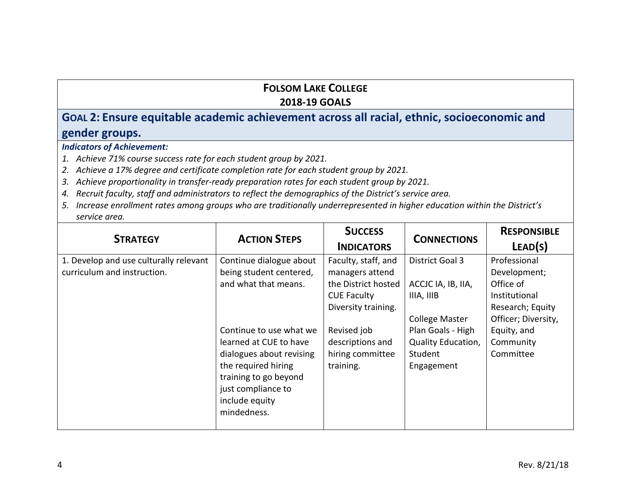## **FOLSOM LAKE COLLEGE 2018-19 GOALS**

# **GOAL 2: Ensure equitable academic achievement across all racial, ethnic, socioeconomic and gender groups.**

*Indicators of Achievement:* 

*1. Achieve 71% course success rate for each student group by 2021.*

*2. Achieve a 17% degree and certificate completion rate for each student group by 2021.* 

- *3. Achieve proportionality in transfer-ready preparation rates for each student group by 2021.*
- *4. Recruit faculty, staff and administrators to reflect the demographics of the District's service area.*
- *5. Increase enrollment rates among groups who are traditionally underrepresented in higher education within the District's service area.*

| <b>STRATEGY</b>                                                       | <b>ACTION STEPS</b>                                                                                                                                                                                         | <b>SUCCESS</b><br><b>INDICATORS</b>                                                                                                                                            | <b>CONNECTIONS</b>                                                                                                                               | <b>RESPONSIBLE</b><br>LEAD(S)                                                                                                                  |
|-----------------------------------------------------------------------|-------------------------------------------------------------------------------------------------------------------------------------------------------------------------------------------------------------|--------------------------------------------------------------------------------------------------------------------------------------------------------------------------------|--------------------------------------------------------------------------------------------------------------------------------------------------|------------------------------------------------------------------------------------------------------------------------------------------------|
| 1. Develop and use culturally relevant<br>curriculum and instruction. | Continue dialogue about<br>being student centered,<br>and what that means.<br>Continue to use what we<br>learned at CUE to have<br>dialogues about revising<br>the required hiring<br>training to go beyond | Faculty, staff, and<br>managers attend<br>the District hosted<br><b>CUE Faculty</b><br>Diversity training.<br>Revised job<br>descriptions and<br>hiring committee<br>training. | District Goal 3<br>ACCJC IA, IB, IIA,<br>IIIA, IIIB<br><b>College Master</b><br>Plan Goals - High<br>Quality Education,<br>Student<br>Engagement | Professional<br>Development;<br>Office of<br>Institutional<br>Research; Equity<br>Officer; Diversity,<br>Equity, and<br>Community<br>Committee |
|                                                                       | just compliance to<br>include equity<br>mindedness.                                                                                                                                                         |                                                                                                                                                                                |                                                                                                                                                  |                                                                                                                                                |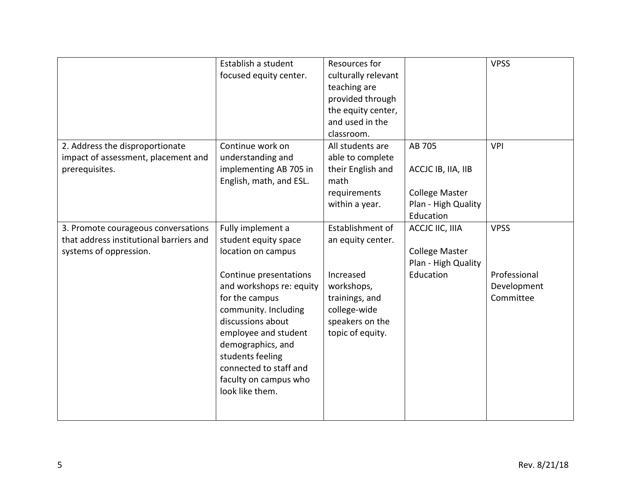|                                                                                                          | Establish a student<br>focused equity center.                                                                                                                                                                                                                                                                               | Resources for<br>culturally relevant<br>teaching are<br>provided through<br>the equity center,<br>and used in the<br>classroom.           |                                                                                           | <b>VPSS</b>                                             |
|----------------------------------------------------------------------------------------------------------|-----------------------------------------------------------------------------------------------------------------------------------------------------------------------------------------------------------------------------------------------------------------------------------------------------------------------------|-------------------------------------------------------------------------------------------------------------------------------------------|-------------------------------------------------------------------------------------------|---------------------------------------------------------|
| 2. Address the disproportionate<br>impact of assessment, placement and<br>prerequisites.                 | Continue work on<br>understanding and<br>implementing AB 705 in<br>English, math, and ESL.                                                                                                                                                                                                                                  | All students are<br>able to complete<br>their English and<br>math<br>requirements<br>within a year.                                       | AB 705<br>ACCJC IB, IIA, IIB<br><b>College Master</b><br>Plan - High Quality<br>Education | <b>VPI</b>                                              |
| 3. Promote courageous conversations<br>that address institutional barriers and<br>systems of oppression. | Fully implement a<br>student equity space<br>location on campus<br>Continue presentations<br>and workshops re: equity<br>for the campus<br>community. Including<br>discussions about<br>employee and student<br>demographics, and<br>students feeling<br>connected to staff and<br>faculty on campus who<br>look like them. | Establishment of<br>an equity center.<br>Increased<br>workshops,<br>trainings, and<br>college-wide<br>speakers on the<br>topic of equity. | ACCJC IIC, IIIA<br><b>College Master</b><br>Plan - High Quality<br>Education              | <b>VPSS</b><br>Professional<br>Development<br>Committee |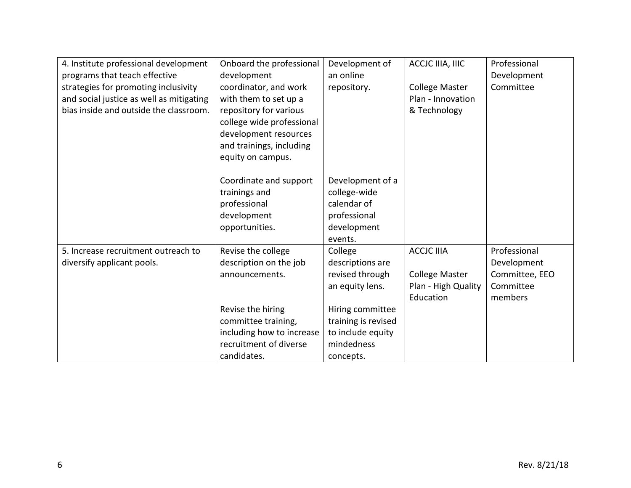| 4. Institute professional development    | Onboard the professional  | Development of      | ACCJC IIIA, IIIC      | Professional   |
|------------------------------------------|---------------------------|---------------------|-----------------------|----------------|
| programs that teach effective            | development               | an online           |                       | Development    |
| strategies for promoting inclusivity     | coordinator, and work     | repository.         | <b>College Master</b> | Committee      |
| and social justice as well as mitigating | with them to set up a     |                     | Plan - Innovation     |                |
| bias inside and outside the classroom.   | repository for various    |                     | & Technology          |                |
|                                          | college wide professional |                     |                       |                |
|                                          | development resources     |                     |                       |                |
|                                          | and trainings, including  |                     |                       |                |
|                                          | equity on campus.         |                     |                       |                |
|                                          |                           |                     |                       |                |
|                                          | Coordinate and support    | Development of a    |                       |                |
|                                          | trainings and             | college-wide        |                       |                |
|                                          | professional              | calendar of         |                       |                |
|                                          | development               | professional        |                       |                |
|                                          | opportunities.            | development         |                       |                |
|                                          |                           | events.             |                       |                |
| 5. Increase recruitment outreach to      | Revise the college        | College             | <b>ACCJC IIIA</b>     | Professional   |
| diversify applicant pools.               | description on the job    | descriptions are    |                       | Development    |
|                                          | announcements.            | revised through     | <b>College Master</b> | Committee, EEO |
|                                          |                           | an equity lens.     | Plan - High Quality   | Committee      |
|                                          |                           |                     | Education             | members        |
|                                          | Revise the hiring         | Hiring committee    |                       |                |
|                                          | committee training,       | training is revised |                       |                |
|                                          | including how to increase | to include equity   |                       |                |
|                                          | recruitment of diverse    | mindedness          |                       |                |
|                                          | candidates.               | concepts.           |                       |                |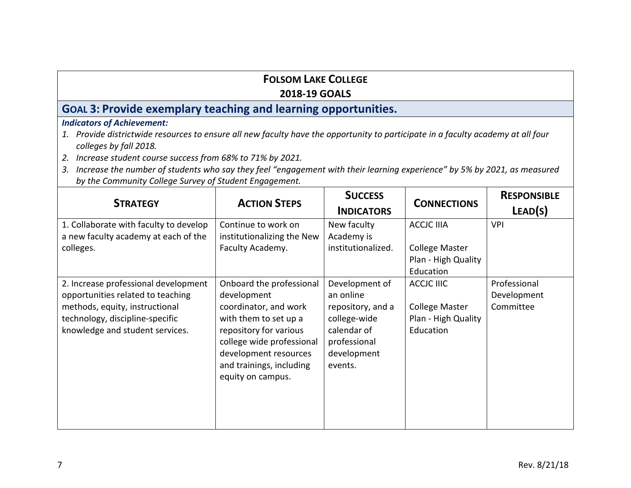## **FOLSOM LAKE COLLEGE**

### **2018-19 GOALS**

# **GOAL 3: Provide exemplary teaching and learning opportunities.**

- *1. Provide districtwide resources to ensure all new faculty have the opportunity to participate in a faculty academy at all four colleges by fall 2018.*
- *2. Increase student course success from 68% to 71% by 2021.*
- *3. Increase the number of students who say they feel "engagement with their learning experience" by 5% by 2021, as measured by the Community College Survey of Student Engagement.*

| <b>STRATEGY</b>                                                                                                                                                                   | <b>ACTION STEPS</b>                                                                                                                                                                                                        | <b>SUCCESS</b><br><b>INDICATORS</b>                                                                                       | <b>CONNECTIONS</b>                                                             | <b>RESPONSIBLE</b><br>LEAD(S)            |
|-----------------------------------------------------------------------------------------------------------------------------------------------------------------------------------|----------------------------------------------------------------------------------------------------------------------------------------------------------------------------------------------------------------------------|---------------------------------------------------------------------------------------------------------------------------|--------------------------------------------------------------------------------|------------------------------------------|
| 1. Collaborate with faculty to develop<br>a new faculty academy at each of the<br>colleges.                                                                                       | Continue to work on<br>institutionalizing the New<br>Faculty Academy.                                                                                                                                                      | New faculty<br>Academy is<br>institutionalized.                                                                           | <b>ACCJC IIIA</b><br><b>College Master</b><br>Plan - High Quality<br>Education | <b>VPI</b>                               |
| 2. Increase professional development<br>opportunities related to teaching<br>methods, equity, instructional<br>technology, discipline-specific<br>knowledge and student services. | Onboard the professional<br>development<br>coordinator, and work<br>with them to set up a<br>repository for various<br>college wide professional<br>development resources<br>and trainings, including<br>equity on campus. | Development of<br>an online<br>repository, and a<br>college-wide<br>calendar of<br>professional<br>development<br>events. | ACCJC IIIC<br><b>College Master</b><br>Plan - High Quality<br>Education        | Professional<br>Development<br>Committee |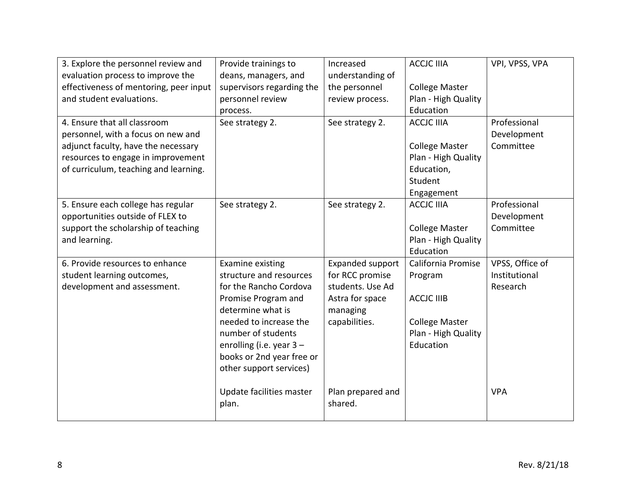| 3. Explore the personnel review and    | Provide trainings to      | Increased               | <b>ACCJC IIIA</b>     | VPI, VPSS, VPA  |
|----------------------------------------|---------------------------|-------------------------|-----------------------|-----------------|
| evaluation process to improve the      | deans, managers, and      | understanding of        |                       |                 |
| effectiveness of mentoring, peer input | supervisors regarding the | the personnel           | <b>College Master</b> |                 |
| and student evaluations.               | personnel review          | review process.         | Plan - High Quality   |                 |
|                                        | process.                  |                         | Education             |                 |
| 4. Ensure that all classroom           | See strategy 2.           | See strategy 2.         | <b>ACCJC IIIA</b>     | Professional    |
| personnel, with a focus on new and     |                           |                         |                       | Development     |
| adjunct faculty, have the necessary    |                           |                         | <b>College Master</b> | Committee       |
| resources to engage in improvement     |                           |                         | Plan - High Quality   |                 |
| of curriculum, teaching and learning.  |                           |                         | Education,            |                 |
|                                        |                           |                         | Student               |                 |
|                                        |                           |                         | Engagement            |                 |
| 5. Ensure each college has regular     | See strategy 2.           | See strategy 2.         | <b>ACCJC IIIA</b>     | Professional    |
| opportunities outside of FLEX to       |                           |                         |                       | Development     |
| support the scholarship of teaching    |                           |                         | <b>College Master</b> | Committee       |
| and learning.                          |                           |                         | Plan - High Quality   |                 |
|                                        |                           |                         | Education             |                 |
| 6. Provide resources to enhance        | Examine existing          | <b>Expanded support</b> | California Promise    | VPSS, Office of |
| student learning outcomes,             | structure and resources   | for RCC promise         | Program               | Institutional   |
| development and assessment.            | for the Rancho Cordova    | students. Use Ad        |                       | Research        |
|                                        | Promise Program and       | Astra for space         | <b>ACCJC IIIB</b>     |                 |
|                                        | determine what is         | managing                |                       |                 |
|                                        | needed to increase the    | capabilities.           | <b>College Master</b> |                 |
|                                        | number of students        |                         | Plan - High Quality   |                 |
|                                        | enrolling (i.e. year 3 -  |                         | Education             |                 |
|                                        | books or 2nd year free or |                         |                       |                 |
|                                        | other support services)   |                         |                       |                 |
|                                        |                           |                         |                       |                 |
|                                        | Update facilities master  | Plan prepared and       |                       | <b>VPA</b>      |
|                                        | plan.                     | shared.                 |                       |                 |
|                                        |                           |                         |                       |                 |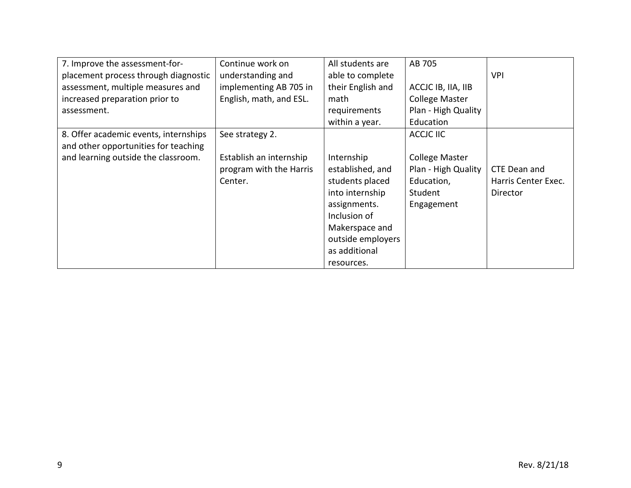| 7. Improve the assessment-for-        | Continue work on        | All students are  | AB 705                |                     |
|---------------------------------------|-------------------------|-------------------|-----------------------|---------------------|
| placement process through diagnostic  | understanding and       | able to complete  |                       | <b>VPI</b>          |
| assessment, multiple measures and     | implementing AB 705 in  | their English and | ACCJC IB, IIA, IIB    |                     |
| increased preparation prior to        | English, math, and ESL. | math              | <b>College Master</b> |                     |
| assessment.                           |                         | requirements      | Plan - High Quality   |                     |
|                                       |                         | within a year.    | Education             |                     |
| 8. Offer academic events, internships | See strategy 2.         |                   | ACCJC IIC             |                     |
| and other opportunities for teaching  |                         |                   |                       |                     |
| and learning outside the classroom.   | Establish an internship | Internship        | <b>College Master</b> |                     |
|                                       | program with the Harris | established, and  | Plan - High Quality   | CTE Dean and        |
|                                       | Center.                 | students placed   | Education,            | Harris Center Exec. |
|                                       |                         | into internship   | Student               | Director            |
|                                       |                         | assignments.      | Engagement            |                     |
|                                       |                         | Inclusion of      |                       |                     |
|                                       |                         | Makerspace and    |                       |                     |
|                                       |                         | outside employers |                       |                     |
|                                       |                         | as additional     |                       |                     |
|                                       |                         | resources.        |                       |                     |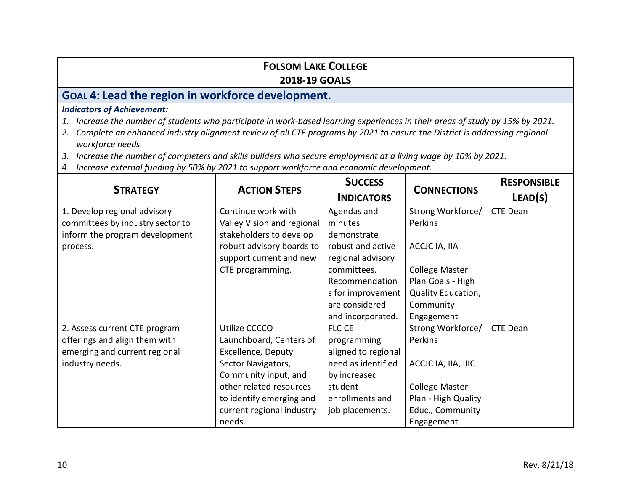### **FOLSOM LAKE COLLEGE 2018-19 GOALS**

# **GOAL 4: Lead the region in workforce development.**

- *1. Increase the number of students who participate in work-based learning experiences in their areas of study by 15% by 2021.*
- *2. Complete an enhanced industry alignment review of all CTE programs by 2021 to ensure the District is addressing regional workforce needs.*
- *3. Increase the number of completers and skills builders who secure employment at a living wage by 10% by 2021.*
- 4. *Increase external funding by 50% by 2021 to support workforce and economic development.*

|                                  |                            | <b>SUCCESS</b>      |                       | <b>RESPONSIBLE</b> |
|----------------------------------|----------------------------|---------------------|-----------------------|--------------------|
| <b>STRATEGY</b>                  | <b>ACTION STEPS</b>        | <b>INDICATORS</b>   | <b>CONNECTIONS</b>    | LEAD(S)            |
| 1. Develop regional advisory     | Continue work with         | Agendas and         | Strong Workforce/     | <b>CTE Dean</b>    |
| committees by industry sector to | Valley Vision and regional | minutes             | Perkins               |                    |
| inform the program development   | stakeholders to develop    | demonstrate         |                       |                    |
| process.                         | robust advisory boards to  | robust and active   | ACCJC IA, IIA         |                    |
|                                  | support current and new    | regional advisory   |                       |                    |
|                                  | CTE programming.           | committees.         | <b>College Master</b> |                    |
|                                  |                            | Recommendation      | Plan Goals - High     |                    |
|                                  |                            | s for improvement   | Quality Education,    |                    |
|                                  |                            | are considered      | Community             |                    |
|                                  |                            | and incorporated.   | Engagement            |                    |
| 2. Assess current CTE program    | Utilize CCCCO              | <b>FLC CE</b>       | Strong Workforce/     | <b>CTE Dean</b>    |
| offerings and align them with    | Launchboard, Centers of    | programming         | Perkins               |                    |
| emerging and current regional    | <b>Excellence, Deputy</b>  | aligned to regional |                       |                    |
| industry needs.                  | Sector Navigators,         | need as identified  | ACCJC IA, IIA, IIIC   |                    |
|                                  | Community input, and       | by increased        |                       |                    |
|                                  | other related resources    | student             | <b>College Master</b> |                    |
|                                  | to identify emerging and   | enrollments and     | Plan - High Quality   |                    |
|                                  | current regional industry  | job placements.     | Educ., Community      |                    |
|                                  | needs.                     |                     | Engagement            |                    |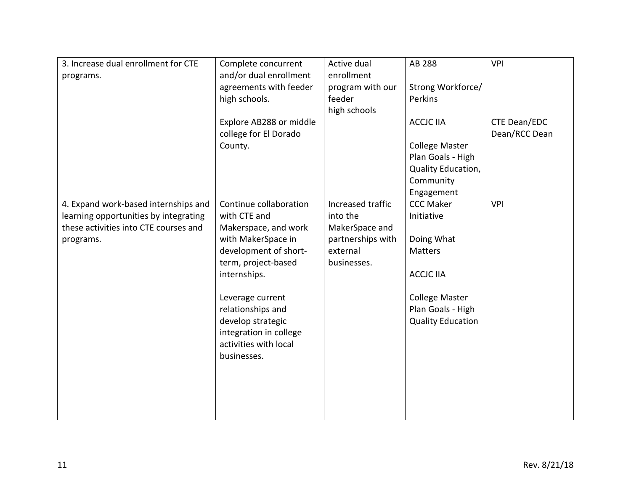| 3. Increase dual enrollment for CTE<br>programs.                                                                                    | Complete concurrent<br>and/or dual enrollment<br>agreements with feeder<br>high schools.<br>Explore AB288 or middle<br>college for El Dorado<br>County.                                                                                                                              | Active dual<br>enrollment<br>program with our<br>feeder<br>high schools                         | AB 288<br>Strong Workforce/<br>Perkins<br><b>ACCJC IIA</b><br><b>College Master</b><br>Plan Goals - High<br>Quality Education,<br>Community<br>Engagement | <b>VPI</b><br>CTE Dean/EDC<br>Dean/RCC Dean |
|-------------------------------------------------------------------------------------------------------------------------------------|--------------------------------------------------------------------------------------------------------------------------------------------------------------------------------------------------------------------------------------------------------------------------------------|-------------------------------------------------------------------------------------------------|-----------------------------------------------------------------------------------------------------------------------------------------------------------|---------------------------------------------|
| 4. Expand work-based internships and<br>learning opportunities by integrating<br>these activities into CTE courses and<br>programs. | Continue collaboration<br>with CTE and<br>Makerspace, and work<br>with MakerSpace in<br>development of short-<br>term, project-based<br>internships.<br>Leverage current<br>relationships and<br>develop strategic<br>integration in college<br>activities with local<br>businesses. | Increased traffic<br>into the<br>MakerSpace and<br>partnerships with<br>external<br>businesses. | <b>CCC Maker</b><br>Initiative<br>Doing What<br>Matters<br><b>ACCJC IIA</b><br><b>College Master</b><br>Plan Goals - High<br><b>Quality Education</b>     | <b>VPI</b>                                  |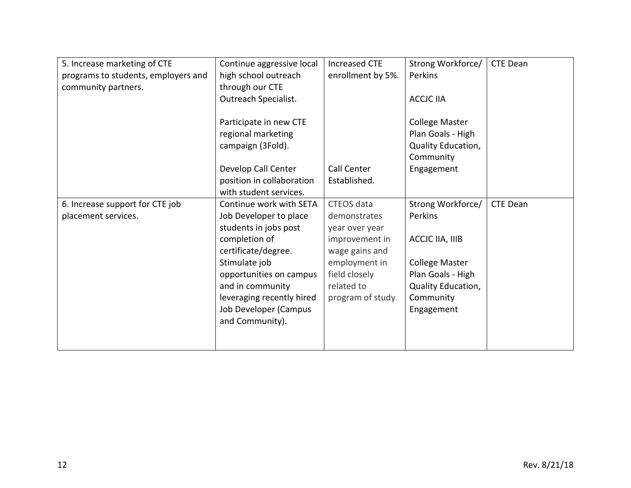| 5. Increase marketing of CTE        | Continue aggressive local | <b>Increased CTE</b> | Strong Workforce/     | CTE Dean |
|-------------------------------------|---------------------------|----------------------|-----------------------|----------|
| programs to students, employers and | high school outreach      | enrollment by 5%.    | Perkins               |          |
| community partners.                 | through our CTE           |                      |                       |          |
|                                     | Outreach Specialist.      |                      | <b>ACCJC IIA</b>      |          |
|                                     |                           |                      |                       |          |
|                                     | Participate in new CTE    |                      | <b>College Master</b> |          |
|                                     | regional marketing        |                      | Plan Goals - High     |          |
|                                     | campaign (3Fold).         |                      | Quality Education,    |          |
|                                     |                           |                      | Community             |          |
|                                     | Develop Call Center       | Call Center          | Engagement            |          |
|                                     | position in collaboration | Established.         |                       |          |
|                                     | with student services.    |                      |                       |          |
| 6. Increase support for CTE job     | Continue work with SETA   | CTEOS data           | Strong Workforce/     | CTE Dean |
| placement services.                 | Job Developer to place    | demonstrates         | Perkins               |          |
|                                     | students in jobs post     | year over year       |                       |          |
|                                     | completion of             | improvement in       | ACCJC IIA, IIIB       |          |
|                                     | certificate/degree.       | wage gains and       |                       |          |
|                                     | Stimulate job             | employment in        | <b>College Master</b> |          |
|                                     | opportunities on campus   | field closely        | Plan Goals - High     |          |
|                                     | and in community          | related to           | Quality Education,    |          |
|                                     | leveraging recently hired | program of study.    | Community             |          |
|                                     | Job Developer (Campus     |                      | Engagement            |          |
|                                     | and Community).           |                      |                       |          |
|                                     |                           |                      |                       |          |
|                                     |                           |                      |                       |          |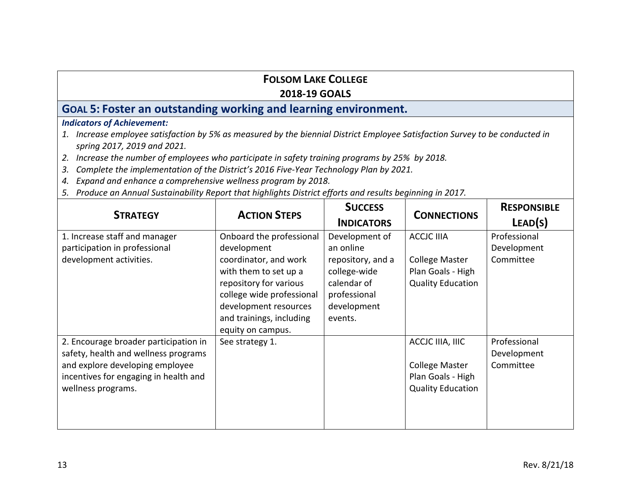## **FOLSOM LAKE COLLEGE**

### **2018-19 GOALS**

# **GOAL 5: Foster an outstanding working and learning environment.**

- *1. Increase employee satisfaction by 5% as measured by the biennial District Employee Satisfaction Survey to be conducted in spring 2017, 2019 and 2021.*
- *2. Increase the number of employees who participate in safety training programs by 25% by 2018.*
- *3. Complete the implementation of the District's 2016 Five-Year Technology Plan by 2021.*
- *4. Expand and enhance a comprehensive wellness program by 2018.*
- *5. Produce an Annual Sustainability Report that highlights District efforts and results beginning in 2017.*

| <b>STRATEGY</b>                                                                                                                                                                 | <b>ACTION STEPS</b>                                                                                                                                                                                                        | <b>SUCCESS</b><br><b>INDICATORS</b>                                                                                       | <b>CONNECTIONS</b>                                                                          | <b>RESPONSIBLE</b><br>LEAD(S)            |
|---------------------------------------------------------------------------------------------------------------------------------------------------------------------------------|----------------------------------------------------------------------------------------------------------------------------------------------------------------------------------------------------------------------------|---------------------------------------------------------------------------------------------------------------------------|---------------------------------------------------------------------------------------------|------------------------------------------|
| 1. Increase staff and manager<br>participation in professional<br>development activities.                                                                                       | Onboard the professional<br>development<br>coordinator, and work<br>with them to set up a<br>repository for various<br>college wide professional<br>development resources<br>and trainings, including<br>equity on campus. | Development of<br>an online<br>repository, and a<br>college-wide<br>calendar of<br>professional<br>development<br>events. | <b>ACCJC IIIA</b><br><b>College Master</b><br>Plan Goals - High<br><b>Quality Education</b> | Professional<br>Development<br>Committee |
| 2. Encourage broader participation in<br>safety, health and wellness programs<br>and explore developing employee<br>incentives for engaging in health and<br>wellness programs. | See strategy 1.                                                                                                                                                                                                            |                                                                                                                           | ACCJC IIIA, IIIC<br><b>College Master</b><br>Plan Goals - High<br><b>Quality Education</b>  | Professional<br>Development<br>Committee |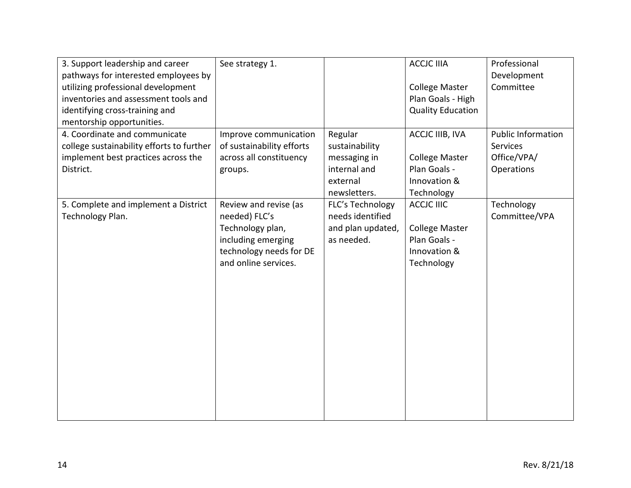| 3. Support leadership and career<br>pathways for interested employees by<br>utilizing professional development<br>inventories and assessment tools and<br>identifying cross-training and<br>mentorship opportunities. | See strategy 1.                                                                                                                     |                                                                                       | <b>ACCJC IIIA</b><br><b>College Master</b><br>Plan Goals - High<br><b>Quality Education</b> | Professional<br>Development<br>Committee                           |
|-----------------------------------------------------------------------------------------------------------------------------------------------------------------------------------------------------------------------|-------------------------------------------------------------------------------------------------------------------------------------|---------------------------------------------------------------------------------------|---------------------------------------------------------------------------------------------|--------------------------------------------------------------------|
| 4. Coordinate and communicate<br>college sustainability efforts to further<br>implement best practices across the<br>District.                                                                                        | Improve communication<br>of sustainability efforts<br>across all constituency<br>groups.                                            | Regular<br>sustainability<br>messaging in<br>internal and<br>external<br>newsletters. | ACCJC IIIB, IVA<br><b>College Master</b><br>Plan Goals -<br>Innovation &<br>Technology      | <b>Public Information</b><br>Services<br>Office/VPA/<br>Operations |
| 5. Complete and implement a District<br>Technology Plan.                                                                                                                                                              | Review and revise (as<br>needed) FLC's<br>Technology plan,<br>including emerging<br>technology needs for DE<br>and online services. | FLC's Technology<br>needs identified<br>and plan updated,<br>as needed.               | <b>ACCJC IIIC</b><br><b>College Master</b><br>Plan Goals -<br>Innovation &<br>Technology    | Technology<br>Committee/VPA                                        |